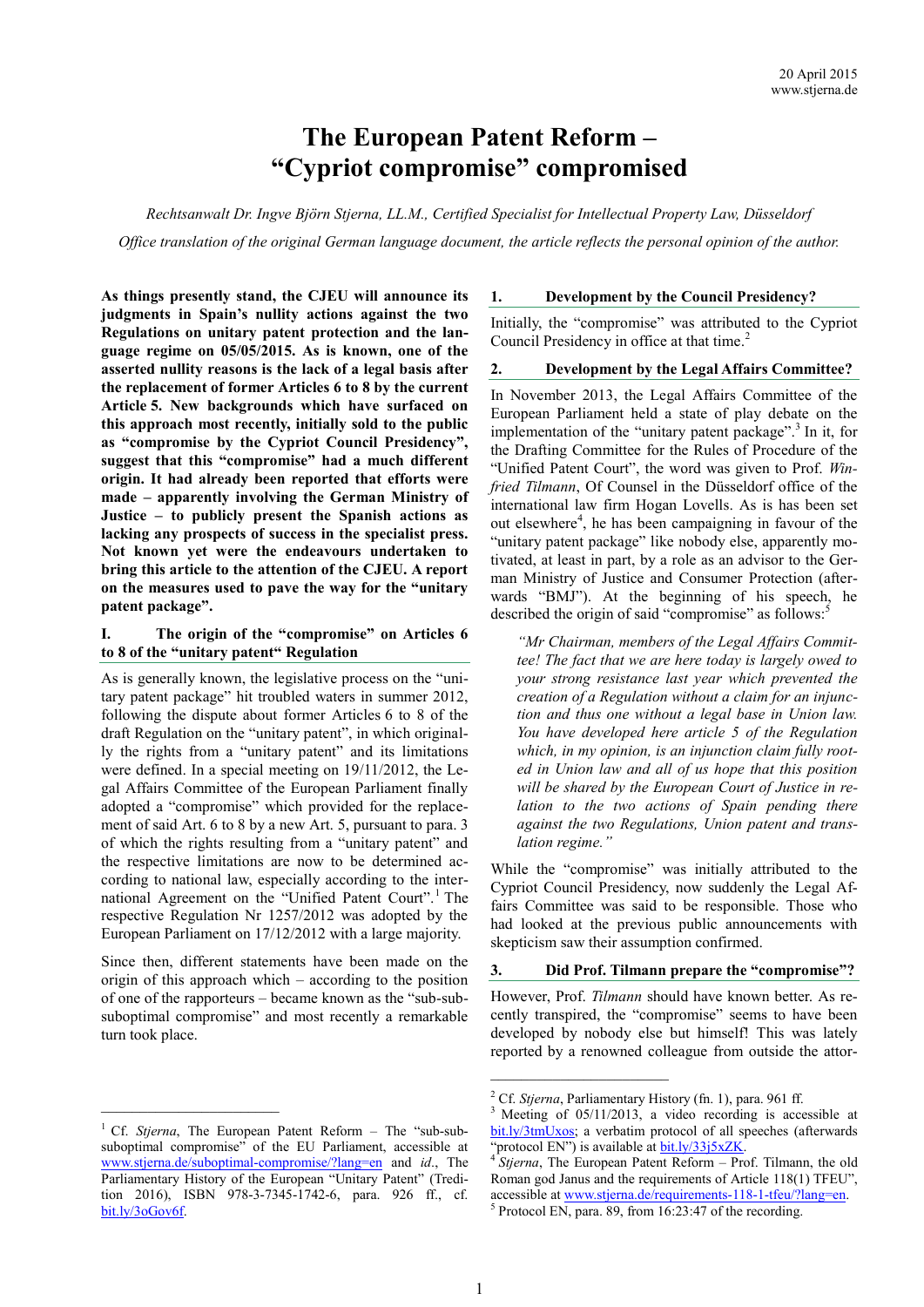# **The European Patent Reform – "Cypriot compromise" compromised**

*Rechtsanwalt Dr. Ingve Björn Stjerna, LL.M., Certified Specialist for Intellectual Property Law, Düsseldorf Office translation of the original German language document, the article reflects the personal opinion of the author.*

**As things presently stand, the CJEU will announce its judgments in Spain's nullity actions against the two Regulations on unitary patent protection and the language regime on 05/05/2015. As is known, one of the asserted nullity reasons is the lack of a legal basis after the replacement of former Articles 6 to 8 by the current Article 5. New backgrounds which have surfaced on this approach most recently, initially sold to the public as "compromise by the Cypriot Council Presidency", suggest that this "compromise" had a much different origin. It had already been reported that efforts were made – apparently involving the German Ministry of Justice – to publicly present the Spanish actions as lacking any prospects of success in the specialist press. Not known yet were the endeavours undertaken to bring this article to the attention of the CJEU. A report on the measures used to pave the way for the "unitary patent package".**

# **I. The origin of the "compromise" on Articles 6 to 8 of the "unitary patent" Regulation**

As is generally known, the legislative process on the "unitary patent package" hit troubled waters in summer 2012, following the dispute about former Articles 6 to 8 of the draft Regulation on the "unitary patent", in which originally the rights from a "unitary patent" and its limitations were defined. In a special meeting on 19/11/2012, the Legal Affairs Committee of the European Parliament finally adopted a "compromise" which provided for the replacement of said Art. 6 to 8 by a new Art. 5, pursuant to para. 3 of which the rights resulting from a "unitary patent" and the respective limitations are now to be determined according to national law, especially according to the international Agreement on the "Unified Patent Court".<sup>1</sup> The respective Regulation Nr 1257/2012 was adopted by the European Parliament on 17/12/2012 with a large majority.

Since then, different statements have been made on the origin of this approach which – according to the position of one of the rapporteurs – became known as the "sub-subsuboptimal compromise" and most recently a remarkable turn took place.

#### **1. Development by the Council Presidency?**

Initially, the "compromise" was attributed to the Cypriot Council Presidency in office at that time. 2

# **2. Development by the Legal Affairs Committee?**

In November 2013, the Legal Affairs Committee of the European Parliament held a state of play debate on the implementation of the "unitary patent package".<sup>3</sup> In it, for the Drafting Committee for the Rules of Procedure of the "Unified Patent Court", the word was given to Prof. *Winfried Tilmann*, Of Counsel in the Düsseldorf office of the international law firm Hogan Lovells. As is has been set out elsewhere<sup>4</sup>, he has been campaigning in favour of the "unitary patent package" like nobody else, apparently motivated, at least in part, by a role as an advisor to the German Ministry of Justice and Consumer Protection (afterwards "BMJ"). At the beginning of his speech, he described the origin of said "compromise" as follows:<sup>5</sup>

*"Mr Chairman, members of the Legal Affairs Committee! The fact that we are here today is largely owed to your strong resistance last year which prevented the creation of a Regulation without a claim for an injunction and thus one without a legal base in Union law. You have developed here article 5 of the Regulation which, in my opinion, is an injunction claim fully rooted in Union law and all of us hope that this position will be shared by the European Court of Justice in relation to the two actions of Spain pending there against the two Regulations, Union patent and translation regime."*

While the "compromise" was initially attributed to the Cypriot Council Presidency, now suddenly the Legal Affairs Committee was said to be responsible. Those who had looked at the previous public announcements with skepticism saw their assumption confirmed.

#### **3. Did Prof. Tilmann prepare the "compromise"?**

However, Prof. *Tilmann* should have known better. As recently transpired, the "compromise" seems to have been developed by nobody else but himself! This was lately reported by a renowned colleague from outside the attor-

\_\_\_\_\_\_\_\_\_\_\_\_\_\_\_\_\_\_\_\_\_\_\_

<sup>1</sup> Cf. *Stjerna*, The European Patent Reform – The "sub-subsuboptimal compromise" of the EU Parliament, accessible at [www.stjerna.de/suboptimal](http://www.stjerna.de/suboptimal-compromise/?lang=en)-compromise/?lang=en and *id*., The Parliamentary History of the European "Unitary Patent" (Tredition 2016), ISBN 978-3-7345-1742-6, para. 926 ff., cf. bit.ly/3oGov6f.

<sup>2</sup> Cf. *Stjerna*, Parliamentary History (fn. 1), para. 961 ff.

<sup>&</sup>lt;sup>3</sup> Meeting of 05/11/2013, a video recording is accessible at [bit.ly/3tmUxos;](https://bit.ly/3tmUxos) a verbatim protocol of all speeches (afterwards "protocol EN") is available a[t bit.ly/33j5xZK.](http://bit.ly/33j5xZK)

<sup>&</sup>lt;sup>4</sup> Stjerna, The European Patent Reform – Prof. Tilmann, the old Roman god Janus and the requirements of Article 118(1) TFEU", accessible a[t www.stjerna.de/requirements](http://www.stjerna.de/requirements-118-1-tfeu/?lang=en)-118-1-tfeu/?lang=en.

<sup>&</sup>lt;sup>5</sup> Protocol EN, para. 89, from 16:23:47 of the recording.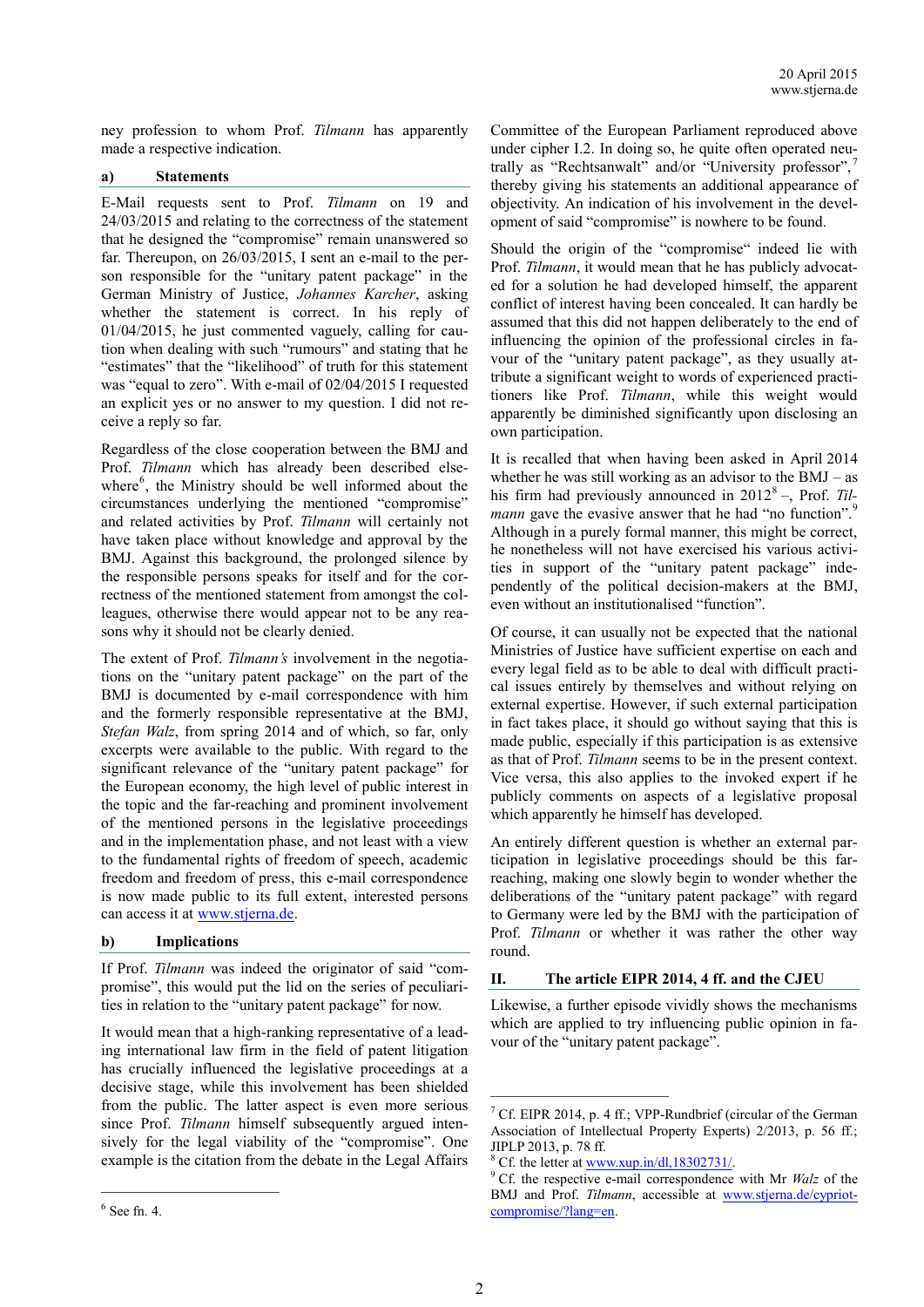ney profession to whom Prof. *Tilmann* has apparently made a respective indication.

# **a) Statements**

E-Mail requests sent to Prof. *Tilmann* on 19 and 24/03/2015 and relating to the correctness of the statement that he designed the "compromise" remain unanswered so far. Thereupon, on 26/03/2015, I sent an e-mail to the person responsible for the "unitary patent package" in the German Ministry of Justice, *Johannes Karcher*, asking whether the statement is correct. In his reply of 01/04/2015, he just commented vaguely, calling for caution when dealing with such "rumours" and stating that he "estimates" that the "likelihood" of truth for this statement was "equal to zero". With e-mail of 02/04/2015 I requested an explicit yes or no answer to my question. I did not receive a reply so far.

Regardless of the close cooperation between the BMJ and Prof. *Tilmann* which has already been described elsewhere<sup>6</sup>, the Ministry should be well informed about the circumstances underlying the mentioned "compromise" and related activities by Prof. *Tilmann* will certainly not have taken place without knowledge and approval by the BMJ. Against this background, the prolonged silence by the responsible persons speaks for itself and for the correctness of the mentioned statement from amongst the colleagues, otherwise there would appear not to be any reasons why it should not be clearly denied.

The extent of Prof. *Tilmann's* involvement in the negotiations on the "unitary patent package" on the part of the BMJ is documented by e-mail correspondence with him and the formerly responsible representative at the BMJ, *Stefan Walz*, from spring 2014 and of which, so far, only excerpts were available to the public. With regard to the significant relevance of the "unitary patent package" for the European economy, the high level of public interest in the topic and the far-reaching and prominent involvement of the mentioned persons in the legislative proceedings and in the implementation phase, and not least with a view to the fundamental rights of freedom of speech, academic freedom and freedom of press, this e-mail correspondence is now made public to its full extent, interested persons can access it at [www.stjerna.de.](http://www.stjerna.de/cypriot-compromise/?lang=en)

#### **b) Implications**

If Prof. *Tilmann* was indeed the originator of said "compromise", this would put the lid on the series of peculiarities in relation to the "unitary patent package" for now.

It would mean that a high-ranking representative of a leading international law firm in the field of patent litigation has crucially influenced the legislative proceedings at a decisive stage, while this involvement has been shielded from the public. The latter aspect is even more serious since Prof. *Tilmann* himself subsequently argued intensively for the legal viability of the "compromise". One example is the citation from the debate in the Legal Affairs Committee of the European Parliament reproduced above under cipher I.2. In doing so, he quite often operated neutrally as "Rechtsanwalt" and/or "University professor",<sup>7</sup> thereby giving his statements an additional appearance of objectivity. An indication of his involvement in the development of said "compromise" is nowhere to be found.

Should the origin of the "compromise" indeed lie with Prof. *Tilmann*, it would mean that he has publicly advocated for a solution he had developed himself, the apparent conflict of interest having been concealed. It can hardly be assumed that this did not happen deliberately to the end of influencing the opinion of the professional circles in favour of the "unitary patent package", as they usually attribute a significant weight to words of experienced practitioners like Prof. *Tilmann*, while this weight would apparently be diminished significantly upon disclosing an own participation.

It is recalled that when having been asked in April 2014 whether he was still working as an advisor to the BMJ – as his firm had previously announced in 2012<sup>8</sup> –, Prof. Til*mann* gave the evasive answer that he had "no function".<sup>9</sup> Although in a purely formal manner, this might be correct, he nonetheless will not have exercised his various activities in support of the "unitary patent package" independently of the political decision-makers at the BMJ, even without an institutionalised "function".

Of course, it can usually not be expected that the national Ministries of Justice have sufficient expertise on each and every legal field as to be able to deal with difficult practical issues entirely by themselves and without relying on external expertise. However, if such external participation in fact takes place, it should go without saying that this is made public, especially if this participation is as extensive as that of Prof. *Tilmann* seems to be in the present context. Vice versa, this also applies to the invoked expert if he publicly comments on aspects of a legislative proposal which apparently he himself has developed.

An entirely different question is whether an external participation in legislative proceedings should be this farreaching, making one slowly begin to wonder whether the deliberations of the "unitary patent package" with regard to Germany were led by the BMJ with the participation of Prof. *Tilmann* or whether it was rather the other way round.

#### **II. The article EIPR 2014, 4 ff. and the CJEU**

Likewise, a further episode vividly shows the mechanisms which are applied to try influencing public opinion in favour of the "unitary patent package".

<sup>6</sup> See fn. 4.

<sup>&</sup>lt;sup>7</sup> Cf. EIPR 2014, p. 4 ff.; VPP-Rundbrief (circular of the German Association of Intellectual Property Experts) 2/2013, p. 56 ff.; JIPLP 2013, p. 78 ff.

<sup>&</sup>lt;sup>8</sup> Cf. the letter a[t www.xup.in/dl,18302731/.](http://www.xup.in/dl,18302731/)

<sup>9</sup> Cf. the respective e-mail correspondence with Mr *Walz* of the BMJ and Prof. *Tilmann*, accessible at [www.stjerna.de/cypriot](http://www.stjerna.de/cypriot-compromise/?lang=en)[compromise/?lang=en.](http://www.stjerna.de/cypriot-compromise/?lang=en)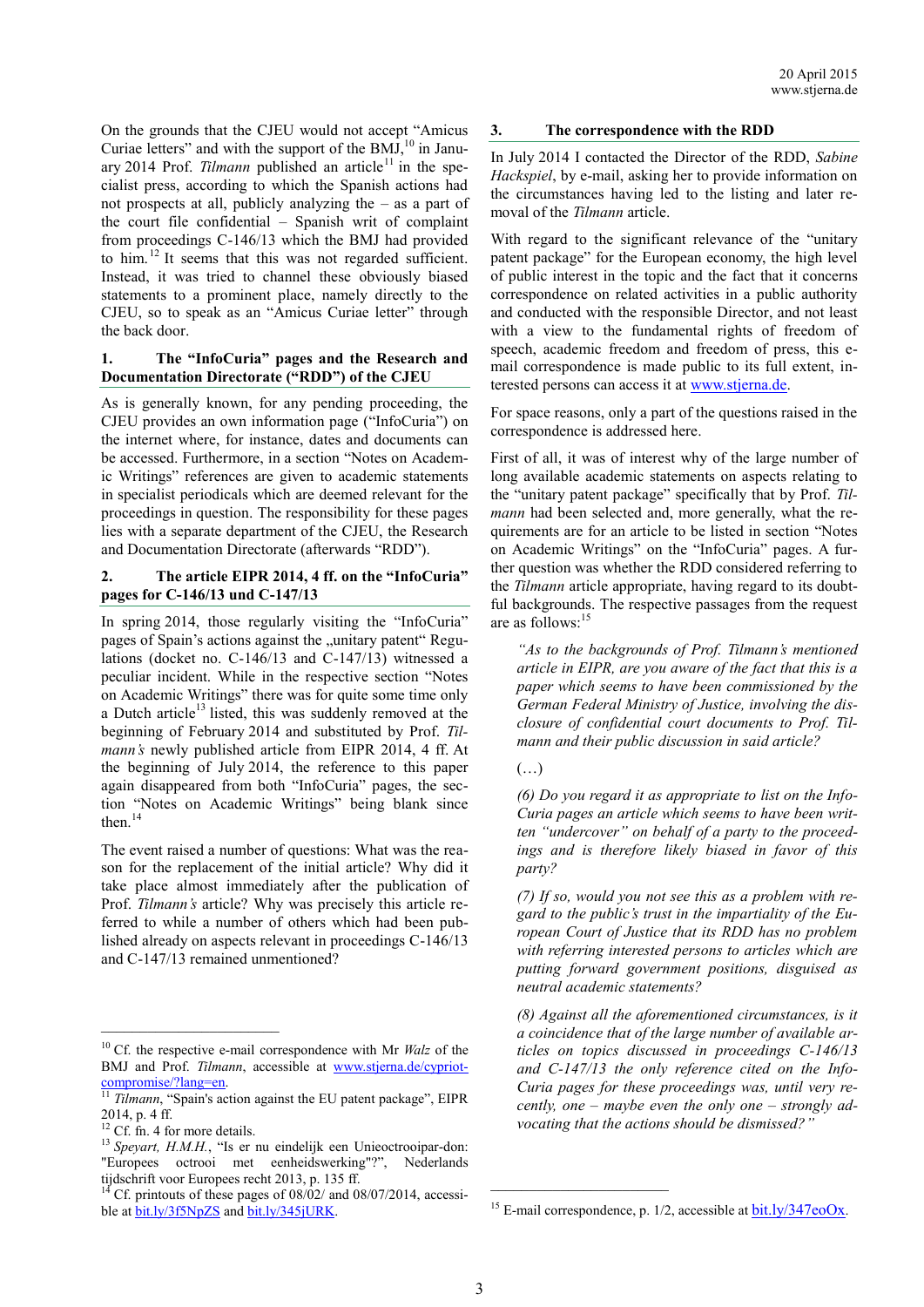On the grounds that the CJEU would not accept "Amicus Curiae letters" and with the support of the  $BMJ$ ,<sup>10</sup> in January 2014 Prof. *Tilmann* published an article<sup>11</sup> in the specialist press, according to which the Spanish actions had not prospects at all, publicly analyzing the – as a part of the court file confidential – Spanish writ of complaint from proceedings C-146/13 which the BMJ had provided to him.<sup>12</sup> It seems that this was not regarded sufficient. Instead, it was tried to channel these obviously biased statements to a prominent place, namely directly to the CJEU, so to speak as an "Amicus Curiae letter" through the back door.

### **1. The "InfoCuria" pages and the Research and Documentation Directorate ("RDD") of the CJEU**

As is generally known, for any pending proceeding, the CJEU provides an own information page ("InfoCuria") on the internet where, for instance, dates and documents can be accessed. Furthermore, in a section "Notes on Academic Writings" references are given to academic statements in specialist periodicals which are deemed relevant for the proceedings in question. The responsibility for these pages lies with a separate department of the CJEU, the Research and Documentation Directorate (afterwards "RDD").

## **2. The article EIPR 2014, 4 ff. on the "InfoCuria" pages for C-146/13 und C-147/13**

In spring 2014, those regularly visiting the "InfoCuria" pages of Spain's actions against the "unitary patent" Regulations (docket no. C-146/13 and C-147/13) witnessed a peculiar incident. While in the respective section "Notes on Academic Writings" there was for quite some time only a Dutch article<sup>13</sup> listed, this was suddenly removed at the beginning of February 2014 and substituted by Prof. *Tilmann's* newly published article from EIPR 2014, 4 ff. At the beginning of July 2014, the reference to this paper again disappeared from both "InfoCuria" pages, the section "Notes on Academic Writings" being blank since then.<sup>14</sup>

The event raised a number of questions: What was the reason for the replacement of the initial article? Why did it take place almost immediately after the publication of Prof. *Tilmann's* article? Why was precisely this article referred to while a number of others which had been published already on aspects relevant in proceedings C-146/13 and C-147/13 remained unmentioned?

## **3. The correspondence with the RDD**

In July 2014 I contacted the Director of the RDD, *Sabine Hackspiel*, by e-mail, asking her to provide information on the circumstances having led to the listing and later removal of the *Tilmann* article.

With regard to the significant relevance of the "unitary patent package" for the European economy, the high level of public interest in the topic and the fact that it concerns correspondence on related activities in a public authority and conducted with the responsible Director, and not least with a view to the fundamental rights of freedom of speech, academic freedom and freedom of press, this email correspondence is made public to its full extent, interested persons can access it at [www.stjerna.de.](http://www.stjerna.de/cypriot-compromise/?lang=en)

For space reasons, only a part of the questions raised in the correspondence is addressed here.

First of all, it was of interest why of the large number of long available academic statements on aspects relating to the "unitary patent package" specifically that by Prof. *Tilmann* had been selected and, more generally, what the requirements are for an article to be listed in section "Notes on Academic Writings" on the "InfoCuria" pages. A further question was whether the RDD considered referring to the *Tilmann* article appropriate, having regard to its doubtful backgrounds. The respective passages from the request are as follows: 15

*"As to the backgrounds of Prof. Tilmann's mentioned article in EIPR, are you aware of the fact that this is a paper which seems to have been commissioned by the German Federal Ministry of Justice, involving the disclosure of confidential court documents to Prof. Tilmann and their public discussion in said article?*

*(6) Do you regard it as appropriate to list on the Info-Curia pages an article which seems to have been written "undercover" on behalf of a party to the proceedings and is therefore likely biased in favor of this party?*

*(7) If so, would you not see this as a problem with regard to the public's trust in the impartiality of the European Court of Justice that its RDD has no problem with referring interested persons to articles which are putting forward government positions, disguised as neutral academic statements?*

*(8) Against all the aforementioned circumstances, is it a coincidence that of the large number of available articles on topics discussed in proceedings C-146/13 and C-147/13 the only reference cited on the Info-Curia pages for these proceedings was, until very recently, one – maybe even the only one – strongly advocating that the actions should be dismissed?"*

\_\_\_\_\_\_\_\_\_\_\_\_\_\_\_\_\_\_\_\_\_\_\_

<sup>10</sup> Cf. the respective e-mail correspondence with Mr *Walz* of the BMJ and Prof. *Tilmann*, accessible at [www.stjerna.de/cypriot](http://www.stjerna.de/cypriot-compromise/?lang=en)[compromise/?lang=en.](http://www.stjerna.de/cypriot-compromise/?lang=en) 

<sup>11</sup> *Tilmann*, "Spain's action against the EU patent package", EIPR 2014, p. 4 ff.

 $12 \text{ Cf.}$  fn. 4 for more details.

<sup>&</sup>lt;sup>13</sup> Spevart, H.M.H., "Is er nu eindelijk een Unieoctrooipar-don: "Europees octrooi met eenheidswerking"?", Nederlands tijdschrift voor Europees recht 2013, p. 135 ff.

Cf. printouts of these pages of  $08/\overline{02}$  and  $08/\overline{07}/2014$ , accessible at **bit.ly/3f5NpZS** and **bit.ly/345jURK**.

 $(\ldots)$ 

<sup>&</sup>lt;sup>15</sup> E-mail correspondence, p.  $1/2$ , accessible at  $bit.1y/347e<sub>0</sub>Ox$ .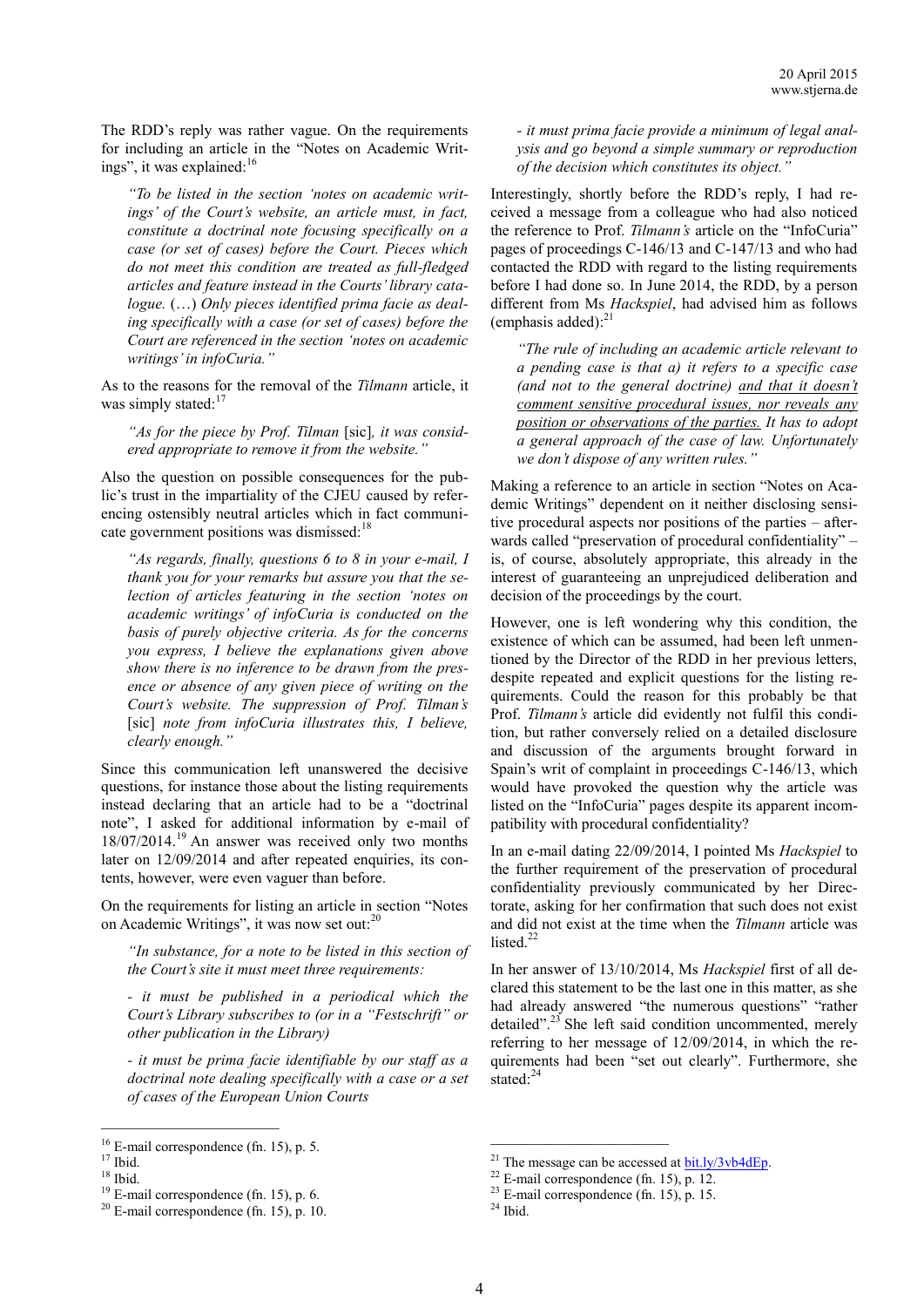The RDD's reply was rather vague. On the requirements for including an article in the "Notes on Academic Writings", it was explained:<sup>16</sup>

*"To be listed in the section 'notes on academic writings' of the Court's website, an article must, in fact, constitute a doctrinal note focusing specifically on a case (or set of cases) before the Court. Pieces which do not meet this condition are treated as full-fledged articles and feature instead in the Courts' library catalogue.* (…) *Only pieces identified prima facie as dealing specifically with a case (or set of cases) before the Court are referenced in the section 'notes on academic writings' in infoCuria."*

As to the reasons for the removal of the *Tilmann* article, it was simply stated:<sup>17</sup>

*"As for the piece by Prof. Tilman* [sic]*, it was considered appropriate to remove it from the website."*

Also the question on possible consequences for the public's trust in the impartiality of the CJEU caused by referencing ostensibly neutral articles which in fact communicate government positions was dismissed:<sup>18</sup>

*"As regards, finally, questions 6 to 8 in your e-mail, I thank you for your remarks but assure you that the selection of articles featuring in the section 'notes on academic writings' of infoCuria is conducted on the basis of purely objective criteria. As for the concerns you express, I believe the explanations given above show there is no inference to be drawn from the presence or absence of any given piece of writing on the Court's website. The suppression of Prof. Tilman's*  [sic] *note from infoCuria illustrates this, I believe, clearly enough."*

Since this communication left unanswered the decisive questions, for instance those about the listing requirements instead declaring that an article had to be a "doctrinal note", I asked for additional information by e-mail of 18/07/2014.<sup>19</sup> An answer was received only two months later on 12/09/2014 and after repeated enquiries, its contents, however, were even vaguer than before.

On the requirements for listing an article in section "Notes on Academic Writings", it was now set out:<sup>20</sup>

*"In substance, for a note to be listed in this section of the Court's site it must meet three requirements:*

*- it must be published in a periodical which the Court's Library subscribes to (or in a "Festschrift" or other publication in the Library)*

*- it must be prima facie identifiable by our staff as a doctrinal note dealing specifically with a case or a set of cases of the European Union Courts*

 $\mathcal{L}_\text{max}$ 

*- it must prima facie provide a minimum of legal analysis and go beyond a simple summary or reproduction of the decision which constitutes its object."*

Interestingly, shortly before the RDD's reply, I had received a message from a colleague who had also noticed the reference to Prof. *Tilmann's* article on the "InfoCuria" pages of proceedings C-146/13 and C-147/13 and who had contacted the RDD with regard to the listing requirements before I had done so. In June 2014, the RDD, by a person different from Ms *Hackspiel*, had advised him as follows (emphasis added): 21

*"The rule of including an academic article relevant to a pending case is that a) it refers to a specific case (and not to the general doctrine) and that it doesn't comment sensitive procedural issues, nor reveals any position or observations of the parties. It has to adopt a general approach of the case of law. Unfortunately we don't dispose of any written rules."*

Making a reference to an article in section "Notes on Academic Writings" dependent on it neither disclosing sensitive procedural aspects nor positions of the parties – afterwards called "preservation of procedural confidentiality" – is, of course, absolutely appropriate, this already in the interest of guaranteeing an unprejudiced deliberation and decision of the proceedings by the court.

However, one is left wondering why this condition, the existence of which can be assumed, had been left unmentioned by the Director of the RDD in her previous letters, despite repeated and explicit questions for the listing requirements. Could the reason for this probably be that Prof. *Tilmann's* article did evidently not fulfil this condition, but rather conversely relied on a detailed disclosure and discussion of the arguments brought forward in Spain's writ of complaint in proceedings C-146/13, which would have provoked the question why the article was listed on the "InfoCuria" pages despite its apparent incompatibility with procedural confidentiality?

In an e-mail dating 22/09/2014, I pointed Ms *Hackspiel* to the further requirement of the preservation of procedural confidentiality previously communicated by her Directorate, asking for her confirmation that such does not exist and did not exist at the time when the *Tilmann* article was listed. $22$ 

In her answer of 13/10/2014, Ms *Hackspiel* first of all declared this statement to be the last one in this matter, as she had already answered "the numerous questions" "rather detailed".<sup>23</sup> She left said condition uncommented, merely referring to her message of 12/09/2014, in which the requirements had been "set out clearly". Furthermore, she stated: $24$ 

 $\mathcal{L}_\text{max}$ 

<sup>&</sup>lt;sup>16</sup> E-mail correspondence (fn. 15), p. 5.

 $17$  Ibid.

 $18$  Ibid.

 $19$  E-mail correspondence (fn. 15), p. 6.

 $20$  E-mail correspondence (fn. 15), p. 10.

<sup>&</sup>lt;sup>21</sup> The message can be accessed at  $bit.1y/3v$ b4dEp.

 $22$  E-mail correspondence (fn. 15), p. 12.

 $23$  E-mail correspondence (fn. 15), p. 15.

 $24$  Ibid.